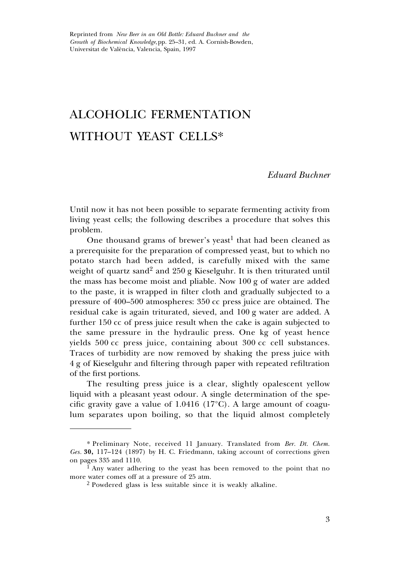Reprinted from *New Beer in an Old Bottle: Eduard Buchner and the Growth of Biochemical Knowledge,*pp. 25–31, ed. A. Cornish-Bowden, Universitat de València, Valencia, Spain, 1997

# ALCOHOLIC FERMENTATION WITHOUT YEAST CELLS\*

#### *Eduard Buchner*

Until now it has not been possible to separate fermenting activity from living yeast cells; the following describes a procedure that solves this problem.

One thousand grams of brewer's yeast<sup>1</sup> that had been cleaned as a prerequisite for the preparation of compressed yeast, but to which no potato starch had been added, is carefully mixed with the same weight of quartz sand<sup>2</sup> and 250 g Kieselguhr. It is then triturated until the mass has become moist and pliable. Now 100 g of water are added to the paste, it is wrapped in filter cloth and gradually subjected to a pressure of 400–500 atmospheres: 350 cc press juice are obtained. The residual cake is again triturated, sieved, and 100 g water are added. A further 150 cc of press juice result when the cake is again subjected to the same pressure in the hydraulic press. One kg of yeast hence yields 500 cc press juice, containing about 300 cc cell substances. Traces of turbidity are now removed by shaking the press juice with 4 g of Kieselguhr and filtering through paper with repeated refiltration of the first portions.

The resulting press juice is a clear, slightly opalescent yellow liquid with a pleasant yeast odour. A single determination of the specific gravity gave a value of 1.0416 (17°C). A large amount of coagulum separates upon boiling, so that the liquid almost completely

<sup>\*</sup> Preliminary Note, received 11 January. Translated from *Ber. Dt. Chem. Ges.* **30,** 117–124 (1897) by H. C. Friedmann, taking account of corrections given on pages 335 and 1110.

<sup>&</sup>lt;sup>1</sup> Any water adhering to the yeast has been removed to the point that no more water comes off at a pressure of 25 atm.

<sup>2</sup> Powdered glass is less suitable since it is weakly alkaline.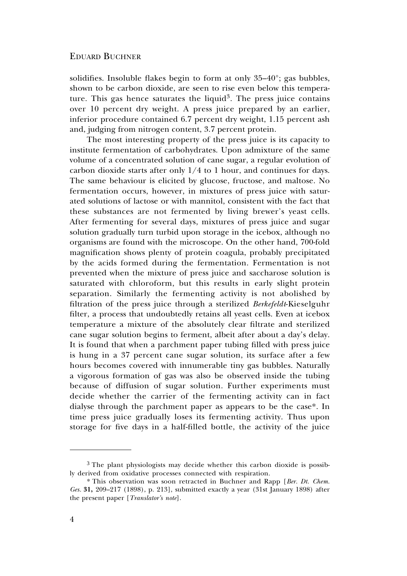#### EDUARD BUCHNER

solidifies. Insoluble flakes begin to form at only 35–40°; gas bubbles, shown to be carbon dioxide, are seen to rise even below this temperature. This gas hence saturates the liquid<sup>3</sup>. The press juice contains over 10 percent dry weight. A press juice prepared by an earlier, inferior procedure contained 6.7 percent dry weight, 1.15 percent ash and, judging from nitrogen content, 3.7 percent protein.

The most interesting property of the press juice is its capacity to institute fermentation of carbohydrates. Upon admixture of the same volume of a concentrated solution of cane sugar, a regular evolution of carbon dioxide starts after only 1/4 to 1 hour, and continues for days. The same behaviour is elicited by glucose, fructose, and maltose. No fermentation occurs, however, in mixtures of press juice with saturated solutions of lactose or with mannitol, consistent with the fact that these substances are not fermented by living brewer's yeast cells. After fermenting for several days, mixtures of press juice and sugar solution gradually turn turbid upon storage in the icebox, although no organisms are found with the microscope. On the other hand, 700-fold magnification shows plenty of protein coagula, probably precipitated by the acids formed during the fermentation. Fermentation is not prevented when the mixture of press juice and saccharose solution is saturated with chloroform, but this results in early slight protein separation. Similarly the fermenting activity is not abolished by filtration of the press juice through a sterilized *Berkefeldt*-Kieselguhr filter, a process that undoubtedly retains all yeast cells. Even at icebox temperature a mixture of the absolutely clear filtrate and sterilized cane sugar solution begins to ferment, albeit after about a day's delay. It is found that when a parchment paper tubing filled with press juice is hung in a 37 percent cane sugar solution, its surface after a few hours becomes covered with innumerable tiny gas bubbles. Naturally a vigorous formation of gas was also be observed inside the tubing because of diffusion of sugar solution. Further experiments must decide whether the carrier of the fermenting activity can in fact dialyse through the parchment paper as appears to be the case\*. In time press juice gradually loses its fermenting activity. Thus upon storage for five days in a half-filled bottle, the activity of the juice

<sup>&</sup>lt;sup>3</sup> The plant physiologists may decide whether this carbon dioxide is possibly derived from oxidative processes connected with respiration.

<sup>\*</sup> This observation was soon retracted in Buchner and Rapp [*Ber. Dt. Chem. Ges.* **31,** 209–217 (1898), p. 213], submitted exactly a year (31st January 1898) after the present paper [*Translator's note*].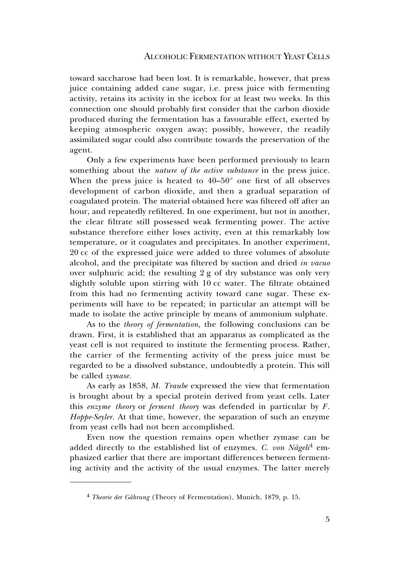toward saccharose had been lost. It is remarkable, however, that press juice containing added cane sugar, i.e. press juice with fermenting activity, retains its activity in the icebox for at least two weeks. In this connection one should probably first consider that the carbon dioxide produced during the fermentation has a favourable effect, exerted by keeping atmospheric oxygen away; possibly, however, the readily assimilated sugar could also contribute towards the preservation of the agent.

Only a few experiments have been performed previously to learn something about the *nature of the active substance* in the press juice. When the press juice is heated to  $40-50^{\circ}$  one first of all observes development of carbon dioxide, and then a gradual separation of coagulated protein. The material obtained here was filtered off after an hour, and repeatedly refiltered. In one experiment, but not in another, the clear filtrate still possessed weak fermenting power. The active substance therefore either loses activity, even at this remarkably low temperature, or it coagulates and precipitates. In another experiment, 20 cc of the expressed juice were added to three volumes of absolute alcohol, and the precipitate was filtered by suction and dried *in vacuo* over sulphuric acid; the resulting 2 g of dry substance was only very slightly soluble upon stirring with 10 cc water. The filtrate obtained from this had no fermenting activity toward cane sugar. These experiments will have to be repeated; in particular an attempt will be made to isolate the active principle by means of ammonium sulphate.

As to the *theory of fermentation,* the following conclusions can be drawn. First, it is established that an apparatus as complicated as the yeast cell is not required to institute the fermenting process. Rather, the carrier of the fermenting activity of the press juice must be regarded to be a dissolved substance, undoubtedly a protein. This will be called *zymase.*

As early as 1858, *M. Traube* expressed the view that fermentation is brought about by a special protein derived from yeast cells. Later this *enzyme theory* or *ferment theory* was defended in particular by *F. Hoppe-Seyler.* At that time, however, the separation of such an enzyme from yeast cells had not been accomplished.

Even now the question remains open whether zymase can be added directly to the established list of enzymes. *C. von Nägeli*<sup>4</sup> emphasized earlier that there are important differences between fermenting activity and the activity of the usual enzymes. The latter merely

<sup>4</sup> *Theorie der Gährung* (Theory of Fermentation), Munich, 1879, p. 15.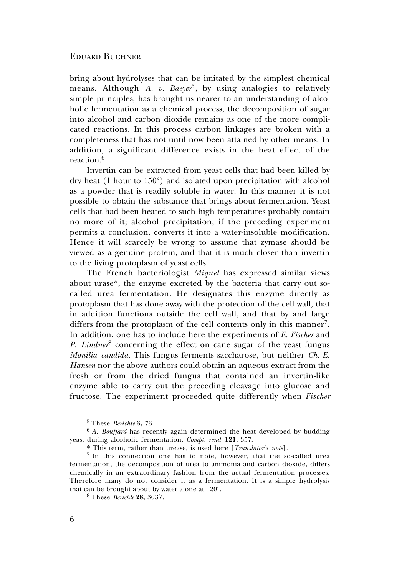#### EDUARD BUCHNER

bring about hydrolyses that can be imitated by the simplest chemical means. Although *A. v. Baeyer*<sup>5</sup>, by using analogies to relatively simple principles, has brought us nearer to an understanding of alcoholic fermentation as a chemical process, the decomposition of sugar into alcohol and carbon dioxide remains as one of the more complicated reactions. In this process carbon linkages are broken with a completeness that has not until now been attained by other means. In addition, a significant difference exists in the heat effect of the reaction  $6$ 

Invertin can be extracted from yeast cells that had been killed by dry heat (1 hour to 150°) and isolated upon precipitation with alcohol as a powder that is readily soluble in water. In this manner it is not possible to obtain the substance that brings about fermentation. Yeast cells that had been heated to such high temperatures probably contain no more of it; alcohol precipitation, if the preceding experiment permits a conclusion, converts it into a water-insoluble modification. Hence it will scarcely be wrong to assume that zymase should be viewed as a genuine protein, and that it is much closer than invertin to the living protoplasm of yeast cells.

The French bacteriologist *Miquel* has expressed similar views about urase\*, the enzyme excreted by the bacteria that carry out socalled urea fermentation. He designates this enzyme directly as protoplasm that has done away with the protection of the cell wall, that in addition functions outside the cell wall, and that by and large differs from the protoplasm of the cell contents only in this manner<sup>7</sup>. In addition, one has to include here the experiments of *E. Fischer* and *P. Lindner*<sup>8</sup> concerning the effect on cane sugar of the yeast fungus *Monilia candida.* This fungus ferments saccharose, but neither *Ch. E. Hansen* nor the above authors could obtain an aqueous extract from the fresh or from the dried fungus that contained an invertin-like enzyme able to carry out the preceding cleavage into glucose and fructose. The experiment proceeded quite differently when *Fischer*

<sup>5</sup> These *Berichte* **3,** 73.

<sup>6</sup> *A. Bouffard* has recently again determined the heat developed by budding yeast during alcoholic fermentation. *Compt. rend.* **121**, 357.

<sup>\*</sup> This term, rather than urease, is used here [*Translator's note*].

<sup>7</sup> In this connection one has to note, however, that the so-called urea fermentation, the decomposition of urea to ammonia and carbon dioxide, differs chemically in an extraordinary fashion from the actual fermentation processes. Therefore many do not consider it as a fermentation. It is a simple hydrolysis that can be brought about by water alone at 120°.

<sup>8</sup> These *Berichte* **28,** 3037.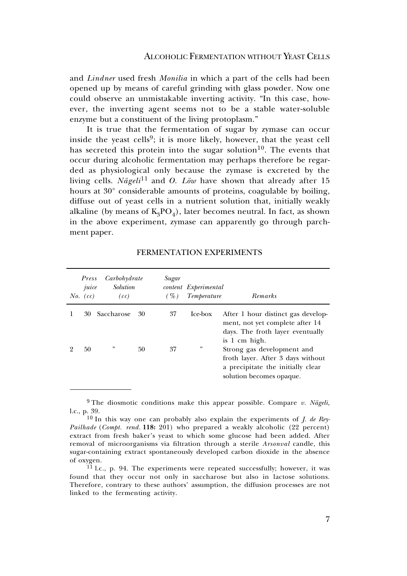#### ALCOHOLIC FERMENTATION WITHOUT YEAST CELLS

and *Lindner* used fresh *Monilia* in which a part of the cells had been opened up by means of careful grinding with glass powder. Now one could observe an unmistakable inverting activity. "In this case, however, the inverting agent seems not to be a stable water-soluble enzyme but a constituent of the living protoplasm."

It is true that the fermentation of sugar by zymase can occur inside the yeast cells<sup>9</sup>; it is more likely, however, that the yeast cell has secreted this protein into the sugar solution<sup>10</sup>. The events that occur during alcoholic fermentation may perhaps therefore be regarded as physiological only because the zymase is excreted by the living cells. *Nägeli*<sup>11</sup> and *O. Löw* have shown that already after 15 hours at 30° considerable amounts of proteins, coagulable by boiling, diffuse out of yeast cells in a nutrient solution that, initially weakly alkaline (by means of  $K_3PO_4$ ), later becomes neutral. In fact, as shown in the above experiment, zymase can apparently go through parchment paper.

| Press<br>juice<br>$No.$ $(cc)$ | Carbohydrate<br><i>Solution</i><br>(cc) |    | Sugar<br>$($ %) | content Experimental<br>Temperature | Remarks                                                                                                                          |
|--------------------------------|-----------------------------------------|----|-----------------|-------------------------------------|----------------------------------------------------------------------------------------------------------------------------------|
| 30                             | Saccharose                              | 30 | 37              | Ice-box                             | After 1 hour distinct gas develop-<br>ment, not yet complete after 14<br>days. The froth layer eventually<br>is 1 cm high.       |
| 50                             | , 2                                     | 50 | 37              | ,,                                  | Strong gas development and<br>froth layer. After 3 days without<br>a precipitate the initially clear<br>solution becomes opaque. |

### FERMENTATION EXPERIMENTS

<sup>9</sup>The diosmotic conditions make this appear possible. Compare *v. Nägeli,* l.c., p. 39.

<sup>10</sup> In this way one can probably also explain the experiments of *J. de Rey-Pailhade* (*Compt. rend.* **118:** 201) who prepared a weakly alcoholic (22 percent) extract from fresh baker's yeast to which some glucose had been added. After removal of microorganisms via filtration through a sterile *Arsonval* candle, this sugar-containing extract spontaneously developed carbon dioxide in the absence of oxygen.

<sup>&</sup>lt;sup>11</sup> l.c., p. 94. The experiments were repeated successfully; however, it was found that they occur not only in saccharose but also in lactose solutions. Therefore, contrary to these authors' assumption, the diffusion processes are not linked to the fermenting activity.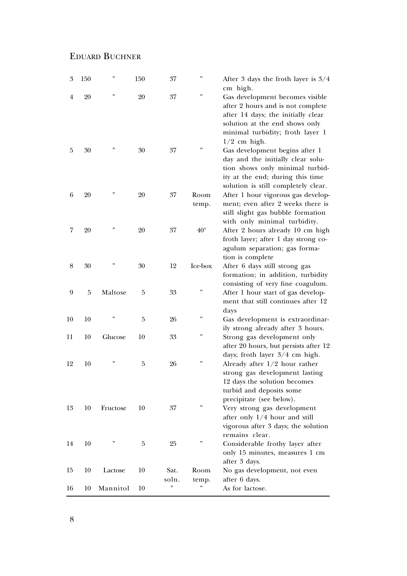## EDUARD BUCHNER

| $\boldsymbol{3}$ | 150 | ,,       | 150 | 37            | ,,            | After 3 days the froth layer is $3/4$<br>cm high.                                                                                                                                                   |
|------------------|-----|----------|-----|---------------|---------------|-----------------------------------------------------------------------------------------------------------------------------------------------------------------------------------------------------|
| 4                | 20  | ,,       | 20  | 37            | ,,            | Gas development becomes visible<br>after 2 hours and is not complete<br>after 14 days; the initially clear<br>solution at the end shows only<br>minimal turbidity; froth layer 1                    |
| 5                | 30  | ,,       | 30  | 37            |               | $1/2$ cm high.<br>Gas development begins after 1<br>day and the initially clear solu-<br>tion shows only minimal turbid-<br>ity at the end; during this time<br>solution is still completely clear. |
| 6                | 20  | ,,       | 20  | 37            | Room<br>temp. | After 1 hour vigorous gas develop-<br>ment; even after 2 weeks there is<br>still slight gas bubble formation<br>with only minimal turbidity.                                                        |
| 7                | 20  | ,,       | 20  | 37            | $40^{\circ}$  | After 2 hours already 10 cm high<br>froth layer; after 1 day strong co-<br>agulum separation; gas forma-<br>tion is complete                                                                        |
| 8                | 30  |          | 30  | 12            | Ice-box       | After 6 days still strong gas<br>formation; in addition, turbidity                                                                                                                                  |
| 9                | 5   | Maltose  | 5   | 33            | ,,            | consisting of very fine coagulum.<br>After 1 hour start of gas develop-<br>ment that still continues after 12<br>days                                                                               |
| 10               | 10  | ,,       | 5   | 26            | ,,            | Gas development is extraordinar-<br>ily strong already after 3 hours.                                                                                                                               |
| 11               | 10  | Glucose  | 10  | 33            | ,,            | Strong gas development only<br>after 20 hours, but persists after 12                                                                                                                                |
| 12               | 10  | ,,       | 5   | 26            | ,,            | days; froth layer 3/4 cm high.<br>Already after $1/2$ hour rather<br>strong gas development lasting<br>12 days the solution becomes<br>turbid and deposits some                                     |
| 13               | 10  | Fructose | 10  | 37            | $, \,$        | precipitate (see below).<br>Very strong gas development<br>after only $1/4$ hour and still<br>vigorous after 3 days; the solution<br>remains clear.                                                 |
| 14               | 10  | ,,       | 5   | 25            | ,,            | Considerable frothy layer after<br>only 15 minutes, measures 1 cm<br>after 3 days.                                                                                                                  |
| 15               | 10  | Lactose  | 10  | Sat.<br>soln. | Room<br>temp. | No gas development, not even<br>after 6 days.                                                                                                                                                       |
| 16               | 10  | Mannitol | 10  | ,,            | ,,            | As for lactose.                                                                                                                                                                                     |